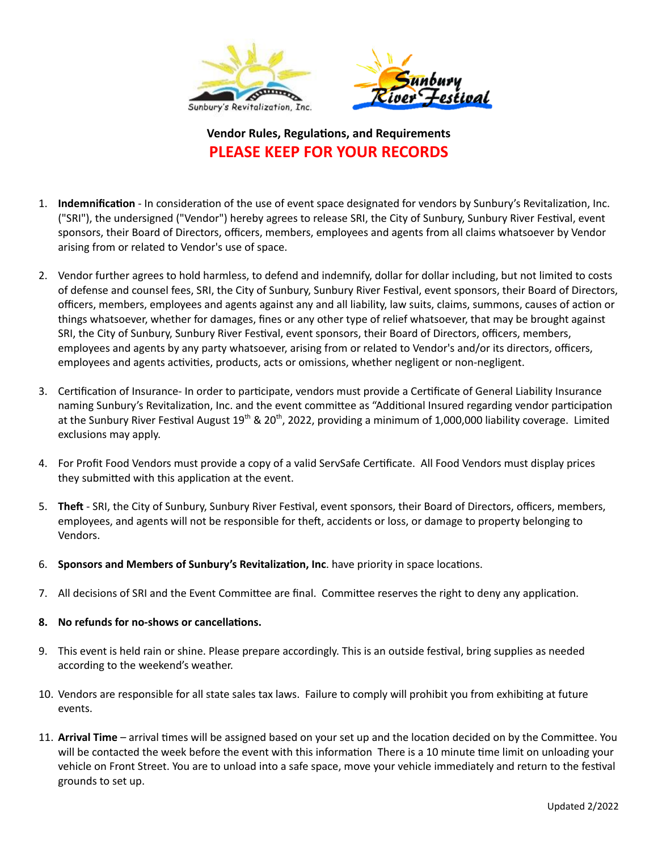

## **Vendor Rules, Regulations, and Requirements PLEASE KEEP FOR YOUR RECORDS**

- 1. **Indemnification** In consideration of the use of event space designated for vendors by Sunbury's Revitalization, Inc. ("SRI"), the undersigned ("Vendor") hereby agrees to release SRI, the City of Sunbury, Sunbury River Festival, event sponsors, their Board of Directors, officers, members, employees and agents from all claims whatsoever by Vendor arising from or related to Vendor's use of space.
- 2. Vendor further agrees to hold harmless, to defend and indemnify, dollar for dollar including, but not limited to costs of defense and counsel fees, SRI, the City of Sunbury, Sunbury River Festival, event sponsors, their Board of Directors, officers, members, employees and agents against any and all liability, law suits, claims, summons, causes of action or things whatsoever, whether for damages, fines or any other type of relief whatsoever, that may be brought against SRI, the City of Sunbury, Sunbury River Festival, event sponsors, their Board of Directors, officers, members, employees and agents by any party whatsoever, arising from or related to Vendor's and/or its directors, officers, employees and agents activities, products, acts or omissions, whether negligent or non-negligent.
- 3. Certification of Insurance- In order to participate, vendors must provide a Certificate of General Liability Insurance naming Sunbury's Revitalization, Inc. and the event committee as "Additional Insured regarding vendor participation at the Sunbury River Festival August 19<sup>th</sup> & 20<sup>th</sup>, 2022, providing a minimum of 1,000,000 liability coverage. Limited exclusions may apply.
- 4. For Profit Food Vendors must provide a copy of a valid ServSafe Cerficate. All Food Vendors must display prices they submitted with this application at the event.
- 5. Theft SRI, the City of Sunbury, Sunbury River Festival, event sponsors, their Board of Directors, officers, members, employees, and agents will not be responsible for theft, accidents or loss, or damage to property belonging to Vendors.
- 6. **Sponsors and Members of Sunbury's Revitalization, Inc.** have priority in space locations.
- 7. All decisions of SRI and the Event Committee are final. Committee reserves the right to deny any application.

## **8.** No refunds for no-shows or cancellations.

- 9. This event is held rain or shine. Please prepare accordingly. This is an outside festival, bring supplies as needed according to the weekend's weather.
- 10. Vendors are responsible for all state sales tax laws. Failure to comply will prohibit you from exhibiting at future events.
- 11. Arrival Time arrival times will be assigned based on your set up and the location decided on by the Committee. You will be contacted the week before the event with this information There is a 10 minute time limit on unloading your vehicle on Front Street. You are to unload into a safe space, move your vehicle immediately and return to the festival grounds to set up.